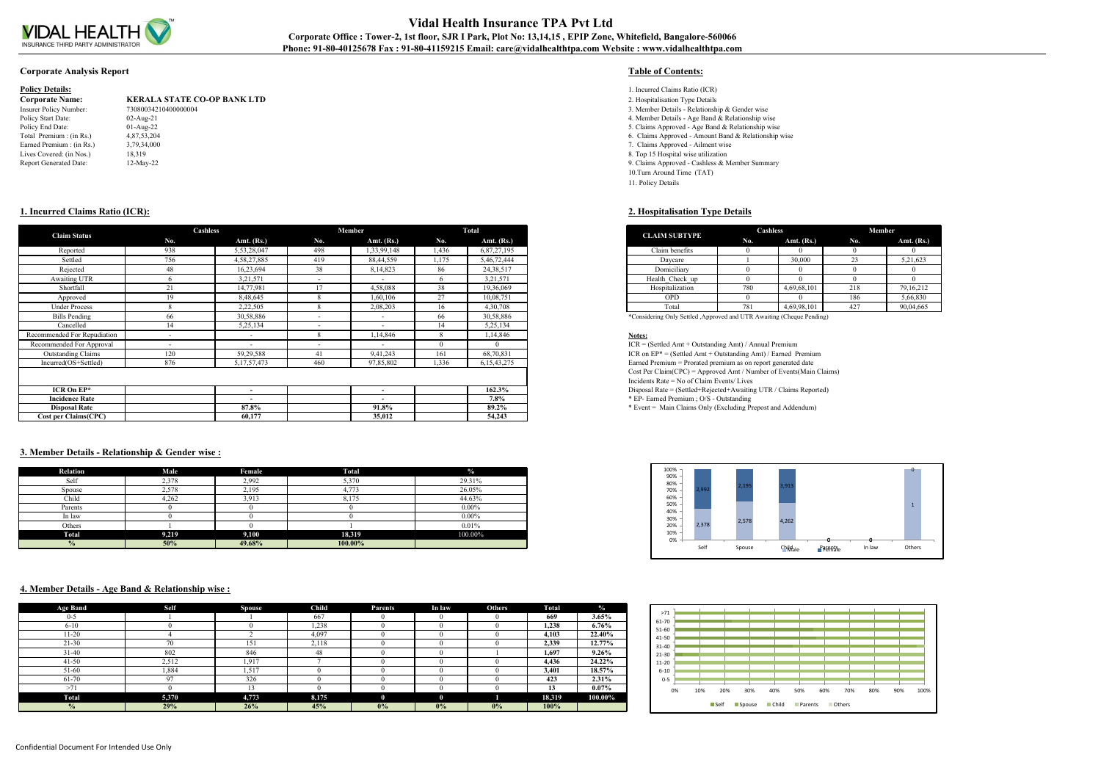

# **Vidal Health Insurance TPA Pvt Ltd** Corporate Office : Tower-2, 1st floor, SJR I Park, Plot No: 13,14,15, EPIP Zone, Whitefield, Bangalore-560066 **Phone: 91-80-40125678 Fax : 91-80-41159215 Email: care@vidalhealthtpa.com Website : www.vidalhealthtpa.com**

### **Corporate Analysis Report Table of Contents:**

| <b>Policy Details:</b>    |                                    | 1. Incurred Claims Ratio (ICR)   |
|---------------------------|------------------------------------|----------------------------------|
| <b>Corporate Name:</b>    | <b>KERALA STATE CO-OP BANK LTD</b> | 2. Hospitalisation Type Details  |
| Insurer Policy Number:    | 73080034210400000004               | 3. Member Details - Relationshi  |
| Policy Start Date:        | $02$ -Aug-21                       | 4. Member Details - Age Band     |
| Policy End Date:          | $01$ -Aug-22                       | 5. Claims Approved - Age Band    |
| Total Premium : (in Rs.)  | 4,87,53,204                        | 6. Claims Approved - Amount      |
| Earned Premium : (in Rs.) | 3,79,34,000                        | 7. Claims Approved - Ailment     |
| Lives Covered: (in Nos.)  | 18,319                             | 8. Top 15 Hospital wise utilizat |
| Report Generated Date:    | $12$ -May-22                       | 9. Claims Approved - Cashless    |
|                           |                                    |                                  |

- 
- **Corporate Name: KERALA STATE CO-OP BANK LTD** 2. Hospitalisation Type Details
- 3. Member Details Relationship & Gender wise
- 4. Member Details Age Band  $\&$  Relationship wise
- 5. Claims Approved Age Band & Relationship wise
- 6. Claims Approved Amount Band & Relationship wise
- 7. Claims Approved Ailment wise
- 8. Top 15 Hospital wise utilization
- 9. Claims Approved Cashless & Member Summary
- 10.Turn Around Time (TAT) 11. Policy Details

| <b>CLAIM SUBTYPE</b> | Cashless |              | <b>Member</b> |              |
|----------------------|----------|--------------|---------------|--------------|
|                      | No.      | Amt. $(Rs.)$ | No.           | Amt. $(Rs.)$ |
| Claim benefits       |          |              |               |              |
| Daycare              |          | 30,000       | 23            | 5,21,623     |
| Domiciliary          |          |              |               |              |
| Health Check up      |          |              |               |              |
| Hospitalization      | 780      | 4,69,68,101  | 218           | 79,16,212    |
| <b>OPD</b>           |          |              | 186           | 5,66,830     |
| Total                | 781      | 4,69,98,101  | 427           | 90,04,665    |

# **1. Incurred Claims Ratio (ICR): 2. Hospitalisation Type Details**

| <b>Claim Status</b>         | Cashless                 |                          |        | Member                   |       | Total          |
|-----------------------------|--------------------------|--------------------------|--------|--------------------------|-------|----------------|
|                             | No.                      | Amt. $(Rs.)$             | No.    | Amt. $(Rs.)$             | No.   | Amt. $(Rs.)$   |
| Reported                    | 938                      | 5,53,28,047              | 498    | 1,33,99,148              | 1,436 | 6,87,27,195    |
| Settled                     | 756                      | 4, 58, 27, 885           | 419    | 88,44,559                | 1,175 | 5,46,72,444    |
| Rejected                    | 48                       | 16,23,694                | 38     | 8, 14, 823               | 86    | 24,38,517      |
| Awaiting UTR                |                          | 3,21,571                 | $\sim$ | $\overline{\phantom{0}}$ |       | 3,21,571       |
| Shortfall                   | 21                       | 14,77,981                | 17     | 4,58,088                 | 38    | 19,36,069      |
| Approved                    | 19                       | 8,48,645                 |        | 1,60,106                 | 27    | 10,08,751      |
| <b>Under Process</b>        |                          | 2,22,505                 |        | 2,08,203                 | 16    | 4,30,708       |
| Bills Pending               | 66                       | 30,58,886                | $\sim$ | $\overline{\phantom{0}}$ | 66    | 30,58,886      |
| Cancelled                   | 14                       | 5,25,134                 | $\sim$ | $\sim$                   | 14    | 5, 25, 134     |
| Recommended For Repudiation | $\overline{\phantom{0}}$ | $\overline{\phantom{a}}$ |        | 1,14,846                 |       | 1,14,846       |
| Recommended For Approval    | $\overline{\phantom{0}}$ | $\overline{\phantom{a}}$ | $\sim$ | $\sim$                   |       |                |
| <b>Outstanding Claims</b>   | 120                      | 59,29,588                | 41     | 9,41,243                 | 161   | 68,70,831      |
| Incurred(OS+Settled)        | 876                      | 5, 17, 57, 473           | 460    | 97,85,802                | 1,336 | 6, 15, 43, 275 |
|                             |                          |                          |        |                          |       |                |
|                             |                          |                          |        |                          |       |                |
| $ICR$ On $EP^*$             |                          | $\overline{\phantom{a}}$ |        | $\sim$                   |       | 162.3%         |
| <b>Incidence Rate</b>       |                          | $\overline{\phantom{a}}$ |        | $\sim$                   |       | $7.8\%$        |
| <b>Disposal Rate</b>        |                          | 87.8%                    |        | 91.8%                    |       | 89.2%          |
| <b>Cost per Claims(CPC)</b> |                          | 60,177                   |        | 35,012                   |       | 54,243         |

# **3. Member Details - Relationship & Gender wise :**

| <b>Relation</b> | Male  | Female | <b>Total</b> | $\frac{0}{0}$ |
|-----------------|-------|--------|--------------|---------------|
| Self            | 2,378 | 2.992  | 5,370        | 29.31%        |
| Spouse          | 2,578 | 2.195  | 4.773        | 26.05%        |
| Child           | 4,262 | 3,913  | 8.175        | 44.63%        |
| Parents         |       |        |              | $0.00\%$      |
| In law          |       |        |              | $0.00\%$      |
| Others          |       |        |              | 0.01%         |
| <b>Total</b>    | 9,219 | 9,100  | 18,319       | 100.00%       |
| $\frac{0}{0}$   | 50%   | 49.68% | 100.00%      |               |

### **4. Member Details - Age Band & Relationship wise :**

| <b>Age Band</b> | <b>Self</b> | <b>Spouse</b> | Child | <b>Parents</b> | In law | <b>Others</b> | <b>Total</b> | $\frac{0}{2}$ |
|-----------------|-------------|---------------|-------|----------------|--------|---------------|--------------|---------------|
| $0 - 5$         |             |               | 667   |                |        |               | 669          | $3.65\%$      |
| $6 - 10$        |             |               | 1,238 |                |        |               | 1,238        | $6.76\%$      |
| 11-20           |             |               | 4,097 |                |        |               | 4,103        | 22.40%        |
| $21 - 30$       | 70          | 151           | 2,118 |                |        |               | 2,339        | 12.77%        |
| $31-40$         | 802         | 846           | 48    |                |        |               | 1,697        | $9.26\%$      |
| $41 - 50$       | 2,512       | 1,917         |       |                |        |               | 4,436        | 24.22%        |
| 51-60           | 1,884       | 1,517         |       |                |        |               | 3,401        | 18.57%        |
| 61-70           | 97          | 326           |       |                |        |               | 423          | $2.31\%$      |
| >71             |             | 13            |       |                |        |               | 13           | $0.07\%$      |
| Total           | 5,370       | 4,773         | 8,175 |                |        |               | 18,319       | 100.00%       |
| $\frac{0}{0}$   | 29%         | 26%           | 45%   | $0\%$          | $0\%$  | 0%            | 100%         |               |



| >71       |     |                     |               |       |         |     |               |     |     |      |
|-----------|-----|---------------------|---------------|-------|---------|-----|---------------|-----|-----|------|
|           |     |                     |               |       |         |     |               |     |     |      |
| 61-70     |     |                     |               |       |         |     |               |     |     |      |
| 51-60     |     |                     |               |       |         |     |               |     |     |      |
| 41-50     |     |                     |               |       |         |     |               |     |     |      |
|           |     |                     |               |       |         |     |               |     |     |      |
| 31-40     |     |                     |               |       |         |     |               |     |     |      |
| 21-30     |     |                     |               |       |         |     |               |     |     |      |
| $11 - 20$ |     |                     |               |       |         |     |               |     |     |      |
| $6 - 10$  |     |                     |               |       |         |     |               |     |     |      |
|           |     |                     |               |       |         |     |               |     |     |      |
| $0 - 5$   |     |                     |               |       |         |     |               |     |     |      |
| 0%        | 10% | 20%                 | 30%           | 40%   | 50%     | 60% | 70%           | 80% | 90% | 100% |
|           |     | $\blacksquare$ Self | <b>Spouse</b> | Child | Parents |     | <b>Others</b> |     |     |      |

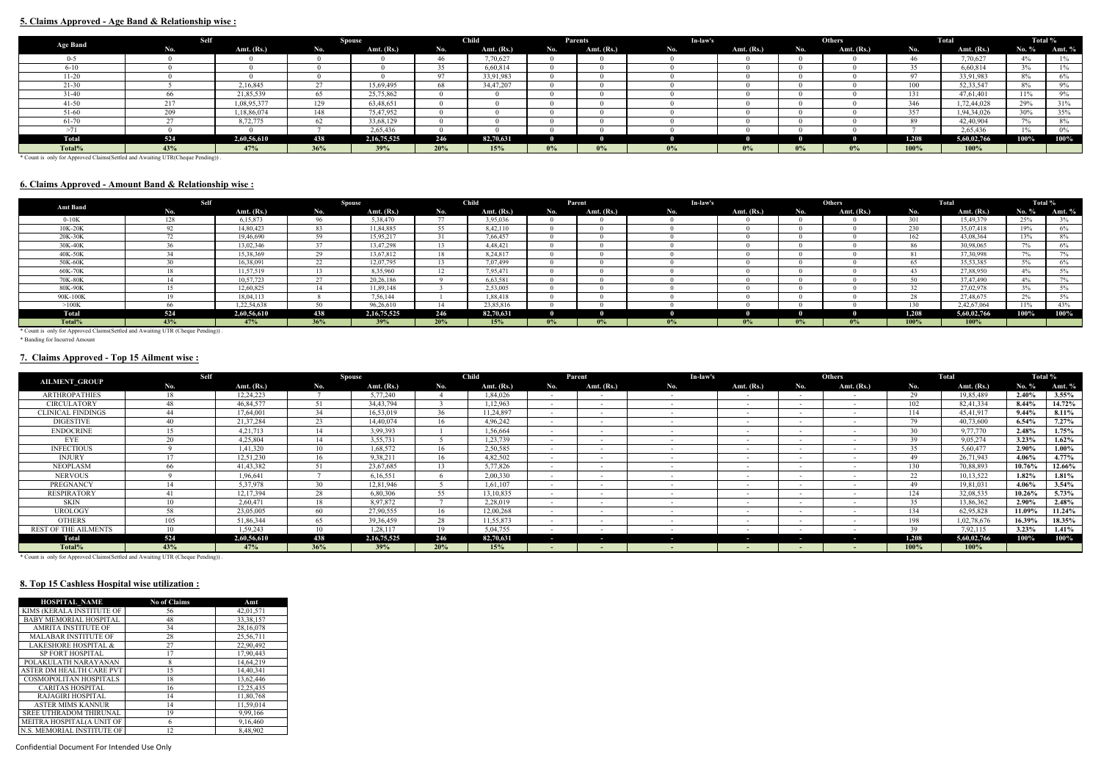# **5. Claims Approved - Age Band & Relationship wise :**

|                 | Self |             |        | <b>Spouse</b>  |     | <b>Child</b> |     | Parents    | In-law's |              |       | Others       |             | Total        | Total %   |         |
|-----------------|------|-------------|--------|----------------|-----|--------------|-----|------------|----------|--------------|-------|--------------|-------------|--------------|-----------|---------|
| <b>Age Band</b> | No.  | Amt. (Rs.)  | No.    | Amt. (Rs.)     | No. | Amt. (Rs.)   | No. | Amt. (Rs.) | No.      | Amt. $(Rs.)$ | No.   | Amt. $(Rs.)$ | No.         | Amt. $(Rs.)$ | No. %     | Amt. %  |
| $0 - 5$         |      |             |        |                | 46  | 7,70,627     |     |            |          |              |       |              |             | 7,70,627     |           |         |
| $6 - 10$        |      |             |        |                | 35  | 6,60,814     |     |            |          |              |       |              | 6,60,814    | $3\%$        | 101<br>l% |         |
| $11 - 20$       |      |             |        |                | 97  | 33,91,983    |     |            |          |              |       |              | 33,91,983   | $8\%$        | 6%        |         |
| $21 - 30$       |      | 2,16,845    | $\sim$ | 15,69,495      | 68  | 34,47,207    |     |            |          |              |       | 100          | 52, 33, 547 | 8%           | 9%        |         |
| $31 - 40$       |      | 21,85,539   | 65     | 25,75,862      |     |              |     |            |          |              |       | 131          | 47,61,401   | 11%          | 9%        |         |
| $41 - 50$       |      | 1,08,95,377 | 129    | 63,48,651      |     |              |     |            |          |              |       | 346          | 1,72,44,028 | 29%          | 31%       |         |
| 51-60           | 200  | 1,18,86,074 | 148    | 75,47,952      |     |              |     |            |          |              |       |              | 357         | 1,94,34,026  | 30%       | 35%     |
| 61-70           |      | 8,72,775    |        | 33,68,129      |     |              |     |            |          |              |       |              |             | 42,40,904    | $7\%$     | 8%      |
|                 |      |             |        | 2,65,436       |     |              |     |            |          |              |       |              |             | 2,65,436     |           |         |
| <b>Total</b>    | 524  | 2,60,56,610 | 438    | 2, 16, 75, 525 | 246 | 82,70,631    |     |            |          |              |       |              | 1.208       | 5,60,02,766  | 100%      | $100\%$ |
| Total%          | 43%  | 47%         | 36%    | 39%            | 20% | 15%          | 0%  | $0\%$      | $0\%$    | $0\%$        | $0\%$ | $0\%$        | 100%        | 100%         |           |         |

\* Count is only for Approved Claims(Settled and Awaiting UTR(Cheque Pending)) .

# **6. Claims Approved - Amount Band & Relationship wise :**

| <b>Amt Band</b>                                                                 | <b>Self</b> |              |     | <b>Spouse</b>  |                      | <b>Child</b> |       | Parent       | In-law's |              |               | <b>Others</b> |       | Total        | Total % |          |
|---------------------------------------------------------------------------------|-------------|--------------|-----|----------------|----------------------|--------------|-------|--------------|----------|--------------|---------------|---------------|-------|--------------|---------|----------|
|                                                                                 | No.         | Amt. $(Rs.)$ | No. | Amt. (Rs.)     | No.                  | Amt. $(Rs.)$ | No.   | Amt. $(Rs.)$ | No.      | Amt. $(Rs.)$ | N0. .         | Amt. $(Rs.)$  | No.   | Amt. $(Rs.)$ | No. $%$ | Amt. $%$ |
| $0-10K$                                                                         |             | 6,15,873     |     | 5,38,470       | $\overline{a}$       | 3,95,036     |       |              |          |              |               |               | 301   | 15,49,379    | 25%     | 3%       |
| 10K-20K                                                                         |             | 14,80,423    | 83  | 11,84,885      | 55                   | 8,42,110     |       |              |          |              |               |               | 230   | 35,07,418    | 19%     | 6%       |
| 20K-30K                                                                         |             | 19,46,690    |     | 15,95,217      |                      | 7,66,457     |       |              |          |              |               |               | 162   | 43,08,364    | 13%     | $8\%$    |
| 30K-40K                                                                         |             | 13,02,346    |     | 13,47,298      | $\sqrt{2}$           | 4,48,421     |       |              |          |              |               |               | 86    | 30,98,065    | $7\%$   | $6\%$    |
| 40K-50K                                                                         |             | 15,38,369    |     | 13,67,812      | 18                   | 8,24,817     |       |              |          |              |               |               |       | 37, 30, 998  | $7\%$   | $7\%$    |
| 50K-60K                                                                         |             | 16,38,091    |     | 12,07,795      |                      | 7,07,499     |       |              |          |              |               |               | 65.   | 35,53,385    | 5%      | $6\%$    |
| 60K-70K                                                                         |             | 11,57,519    |     | 8,35,960       | 1 <sub>2</sub><br>12 | 7,95,471     |       |              |          |              |               |               |       | 27,88,950    | $4\%$   | $5\%$    |
| 70K-80K                                                                         |             | 10,57,723    |     | 20,26,186      |                      | 6,63,581     |       |              |          |              |               |               | 50    | 37,47,490    | $4\%$   |          |
| 80K-90K                                                                         |             | 12,60,825    |     | 11,89,148      |                      | 2,53,005     |       |              |          |              |               |               | 22    | 27,02,978    | $3\%$   | $5\%$    |
| 90K-100K                                                                        |             | 18,04,113    |     | 7,56,144       |                      | 1,88,418     |       |              |          |              |               |               | 28.   | 27,48,675    | 2%      |          |
| >100K                                                                           | -66         | 1,22,54,638  |     | 96,26,610      | 14                   | 23,85,816    |       |              |          |              |               |               | 130   | 2,42,67,064  | $11\%$  | 43%      |
| <b>Total</b>                                                                    | 524         | 2,60,56,610  | 438 | 2, 16, 75, 525 | 246                  | 82,70,631    |       |              |          |              |               |               | 1.208 | 5,60,02,766  | 100%    | 100%     |
| Total%                                                                          | 43%         | 47%          | 36% | 39%            | 20%                  | 15%          | $0\%$ | $0\%$        | $0\%$    | $0\%$        | $\frac{1}{2}$ | $0\%$         | 100%  | $100\%$      |         |          |
| * Count is only for Approved Claims (Settled and Awaiting UTR (Cheque Pending)) |             |              |     |                |                      |              |       |              |          |              |               |               |       |              |         |          |

\* Count is only for Approved Claims(Settled and Awaiting UTR (Cheque Pending)) .

\* Banding for Incurred Amount

# **7. Claims Approved - Top 15 Ailment wise :**

| <b>AILMENT_GROUP</b>     | <b>Self</b>    |              |                | <b>Spouse</b>  |     | <b>Child</b> |                          | Parent                   | In-law's                                             |                          |                          | Others       |                 | Total       |           | Total %  |
|--------------------------|----------------|--------------|----------------|----------------|-----|--------------|--------------------------|--------------------------|------------------------------------------------------|--------------------------|--------------------------|--------------|-----------------|-------------|-----------|----------|
|                          | No.            | Amt. $(Rs.)$ | No.            | Amt. $(Rs.)$   | No. | Amt. (Rs.)   | No.                      | Amt. $(Rs.)$             | No.                                                  | Amt. $(Rs.)$             | No.                      | Amt. $(Rs.)$ | No.             | Amt. (Rs.)  | No. %     | Amt. $%$ |
| <b>ARTHROPATHIES</b>     | 18             | 12,24,223    |                | 5,77,240       |     | 1,84,026     | $\sim$                   | $\sim$                   |                                                      | $\sim$                   | $\sim$                   | $\sim$       | 29              | 19,85,489   | $2.40\%$  | $3.55\%$ |
| <b>CIRCULATORY</b>       | 48             | 46,84,577    | 51             | 34,43,794      |     | 1,12,963     |                          |                          | $\sim$<br>$\overline{\phantom{a}}$                   |                          |                          |              | 102             | 82,41,334   | $8.44\%$  | 14.72%   |
| <b>CLINICAL FINDINGS</b> | 44             | 17,64,001    | 34             | 16,53,019      | 36  | 11,24,897    |                          | $\sim$                   | $\overline{\phantom{0}}$                             |                          |                          |              | 114             | 45,41,917   | $9.44\%$  | $8.11\%$ |
| <b>DIGESTIVE</b>         | 40             | 21,37,284    | 23             | 14,40,074      |     | 4,96,242     |                          |                          |                                                      |                          |                          |              | 79              | 40,73,600   | $6.54\%$  | $7.27\%$ |
| <b>ENDOCRINE</b>         |                | 4, 21, 713   | 14             | 3,99,393       |     | 1,56,664     | $\overline{\phantom{0}}$ | $\sim$                   | $\overline{\phantom{0}}$<br>$\overline{\phantom{a}}$ |                          |                          |              | 30              | 9,77,770    | 2.48%     | 1.75%    |
| EYE                      | 20             | 4,25,804     | 14             | 3,55,731       |     | 1,23,739     | $\overline{\phantom{a}}$ | $\overline{\phantom{0}}$ | $\overline{\phantom{a}}$                             |                          |                          |              | 39              | 9,05,274    | $3.23\%$  | $1.62\%$ |
| <b>INFECTIOUS</b>        |                | 1,41,320     | 1 <sub>0</sub> | 1,68,572       |     | 2,50,585     | $\overline{\phantom{a}}$ | $\sim$                   |                                                      | $\sim$                   |                          |              | 35              | 5,60,477    | 2.90%     | $1.00\%$ |
| INJURY                   |                | 12,51,230    |                | 9,38,211       |     | 4,82,502     | $\sim$                   | $\sim$                   |                                                      | $\overline{\phantom{0}}$ |                          |              | 49              | 26,71,943   | 4.06%     | $4.77\%$ |
| <b>NEOPLASM</b>          | 66             | 41, 43, 382  | 51             | 23,67,685      |     | 5,77,826     | $\overline{\phantom{0}}$ | $\sim$                   |                                                      | $\overline{\phantom{0}}$ |                          |              | 130             | 70,88,893   | 10.76%    | 12.66%   |
| <b>NERVOUS</b>           |                | 1,96,641     |                | 6,16,551       |     | 2,00,330     |                          |                          |                                                      | $\overline{\phantom{0}}$ |                          |              | 22              | 10,13,522   | $1.82\%$  | $1.81\%$ |
| <b>PREGNANCY</b>         |                | 5,37,978     | 30             | 12,81,946      |     | 1,61,107     | $\sim$                   |                          |                                                      | $\sim$                   |                          |              | 49              | 19,81,031   | 4.06%     | $3.54\%$ |
| <b>RESPIRATORY</b>       |                | 12,17,394    | 28             | 6,80,306       | 55  | 13,10,835    | $\sim$                   | $\sim$                   |                                                      | $\overline{\phantom{0}}$ | $\overline{\phantom{a}}$ | $\sim$       | 124             | 32,08,535   | $10.26\%$ | $5.73\%$ |
| SKIN                     |                | 2,60,471     | 18             | 8,97,872       |     | 2,28,019     | $\overline{\phantom{a}}$ | $\sim$                   |                                                      | $\sim$                   |                          |              | 35              | 13,86,362   | $2.90\%$  | $2.48\%$ |
| <b>UROLOGY</b>           | 58             | 23,05,005    | 60             | 27,90,555      |     | 12,00,268    |                          |                          |                                                      |                          |                          |              | 134             | 62,95,828   | 11.09%    | 11.24%   |
| <b>OTHERS</b>            | 105            | 51,86,344    | 65             | 39, 36, 459    | 28  | 11,55,873    | $\sim$                   | $\sim$                   |                                                      | $\overline{\phantom{0}}$ |                          |              | 198             | 1,02,78,676 | 16.39%    | 18.35%   |
| REST OF THE AILMENTS     | 1 <sub>0</sub> | 1,59,243     | 1 <sub>0</sub> | 1,28,117       |     | 5,04,755     | $\overline{\phantom{a}}$ |                          |                                                      |                          |                          |              | 30 <sup>°</sup> | 7,92,115    | $3.23\%$  | $1.41\%$ |
| Total                    | 524            | 2,60,56,610  | 438            | 2, 16, 75, 525 | 246 | 82,70,631    | $\sim$                   | $\sim$                   |                                                      | $\sim$                   | ٠                        | ٠            | 1,208           | 5,60,02,766 | $100\%$   | $100\%$  |
| Total%                   | 43%            | 47%          | 36%            | 39%            | 20% | 15%          |                          |                          |                                                      |                          |                          |              | 100%            | 100%        |           |          |

\* Count is only for Approved Claims(Settled and Awaiting UTR (Cheque Pending)) .

# **8. Top 15 Cashless Hospital wise utilization :**

| <b>HOSPITAL NAME</b>            | <b>No of Claims</b> | Amt         |
|---------------------------------|---------------------|-------------|
| KIMS (KERALA INSTITUTE OF       | 56                  | 42,01,571   |
| <b>BABY MEMORIAL HOSPITAL</b>   | 48                  | 33, 38, 157 |
| <b>AMRITA INSTITUTE OF</b>      | 34                  | 28,16,078   |
| <b>MALABAR INSTITUTE OF</b>     | 28                  | 25,56,711   |
| <b>LAKESHORE HOSPITAL &amp;</b> | 27                  | 22,90,492   |
| <b>SP FORT HOSPITAL</b>         | 17                  | 17,90,443   |
| POLAKULATH NARAYANAN            | 8                   | 14,64,219   |
| ASTER DM HEALTH CARE PVT        | 15                  | 14,40,341   |
| COSMOPOLITAN HOSPITALS          | 18                  | 13,62,446   |
| <b>CARITAS HOSPITAL</b>         | 16                  | 12,25,435   |
| <b>RAJAGIRI HOSPITAL</b>        | 14                  | 11,80,768   |
| <b>ASTER MIMS KANNUR</b>        | 14                  | 11.59.014   |
| SREE UTHRADOM THIRUNAL          | 19                  | 9,99,166    |
| MEITRA HOSPITAL(A UNIT OF       | 6                   | 9,16,460    |
| N.S. MEMORIAL INSTITUTE OF      | 12.                 | 8.48.902    |

HOSPITAL LTD) HEALTHCARE PROVIDERS l Docume Confidential Document For Intended Use Only